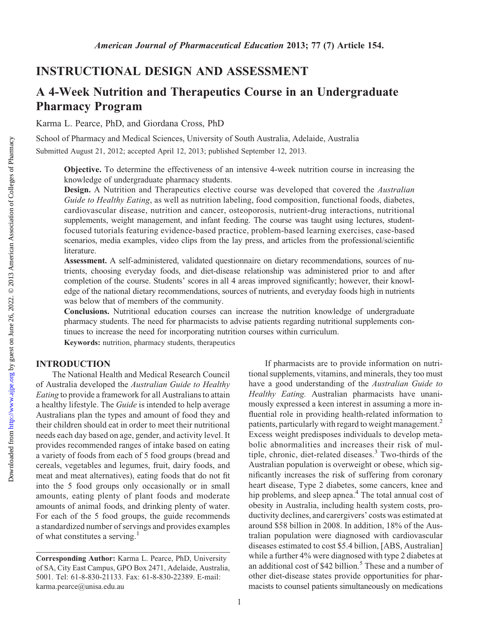# INSTRUCTIONAL DESIGN AND ASSESSMENT

# A 4-Week Nutrition and Therapeutics Course in an Undergraduate Pharmacy Program

Karma L. Pearce, PhD, and Giordana Cross, PhD

School of Pharmacy and Medical Sciences, University of South Australia, Adelaide, Australia Submitted August 21, 2012; accepted April 12, 2013; published September 12, 2013.

Objective. To determine the effectiveness of an intensive 4-week nutrition course in increasing the knowledge of undergraduate pharmacy students.

Design. A Nutrition and Therapeutics elective course was developed that covered the Australian Guide to Healthy Eating, as well as nutrition labeling, food composition, functional foods, diabetes, cardiovascular disease, nutrition and cancer, osteoporosis, nutrient-drug interactions, nutritional supplements, weight management, and infant feeding. The course was taught using lectures, studentfocused tutorials featuring evidence-based practice, problem-based learning exercises, case-based scenarios, media examples, video clips from the lay press, and articles from the professional/scientific literature.

Assessment. A self-administered, validated questionnaire on dietary recommendations, sources of nutrients, choosing everyday foods, and diet-disease relationship was administered prior to and after completion of the course. Students' scores in all 4 areas improved significantly; however, their knowledge of the national dietary recommendations, sources of nutrients, and everyday foods high in nutrients was below that of members of the community.

Conclusions. Nutritional education courses can increase the nutrition knowledge of undergraduate pharmacy students. The need for pharmacists to advise patients regarding nutritional supplements continues to increase the need for incorporating nutrition courses within curriculum.

Keywords: nutrition, pharmacy students, therapeutics

## INTRODUCTION

The National Health and Medical Research Council of Australia developed the Australian Guide to Healthy Eating to provide a framework for all Australians to attain a healthy lifestyle. The Guide is intended to help average Australians plan the types and amount of food they and their children should eat in order to meet their nutritional needs each day based on age, gender, and activity level. It provides recommended ranges of intake based on eating a variety of foods from each of 5 food groups (bread and cereals, vegetables and legumes, fruit, dairy foods, and meat and meat alternatives), eating foods that do not fit into the 5 food groups only occasionally or in small amounts, eating plenty of plant foods and moderate amounts of animal foods, and drinking plenty of water. For each of the 5 food groups, the guide recommends a standardized number of servings and provides examples of what constitutes a serving.<sup>1</sup>

If pharmacists are to provide information on nutritional supplements, vitamins, and minerals, they too must have a good understanding of the Australian Guide to Healthy Eating. Australian pharmacists have unanimously expressed a keen interest in assuming a more influential role in providing health-related information to patients, particularly with regard to weight management.<sup>2</sup> Excess weight predisposes individuals to develop metabolic abnormalities and increases their risk of multiple, chronic, diet-related diseases.<sup>3</sup> Two-thirds of the Australian population is overweight or obese, which significantly increases the risk of suffering from coronary heart disease, Type 2 diabetes, some cancers, knee and hip problems, and sleep apnea.<sup>4</sup> The total annual cost of obesity in Australia, including health system costs, productivity declines, and carergivers' costs was estimated at around \$58 billion in 2008. In addition, 18% of the Australian population were diagnosed with cardiovascular diseases estimated to cost \$5.4 billion, [ABS, Australian] while a further 4% were diagnosed with type 2 diabetes at an additional cost of \$42 billion.<sup>5</sup> These and a number of other diet-disease states provide opportunities for pharmacists to counsel patients simultaneously on medications

Corresponding Author: Karma L. Pearce, PhD, University of SA, City East Campus, GPO Box 2471, Adelaide, Australia, 5001. Tel: 61-8-830-21133. Fax: 61-8-830-22389. E-mail: karma.pearce@unisa.edu.au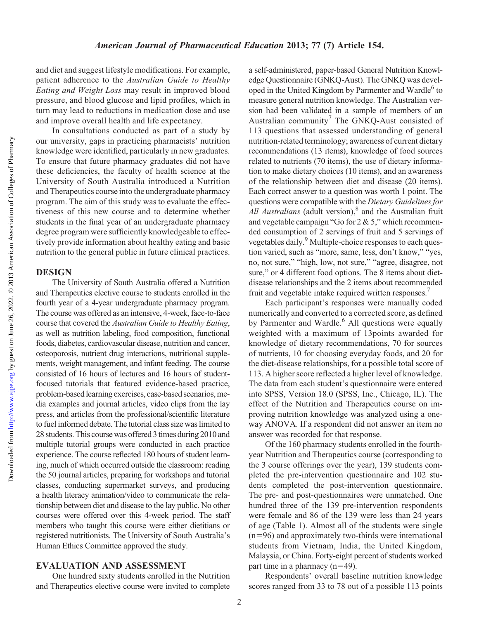Downloaded from

and diet and suggest lifestyle modifications. For example, patient adherence to the Australian Guide to Healthy Eating and Weight Loss may result in improved blood pressure, and blood glucose and lipid profiles, which in turn may lead to reductions in medication dose and use and improve overall health and life expectancy.

In consultations conducted as part of a study by our university, gaps in practicing pharmacists' nutrition knowledge were identified, particularly in new graduates. To ensure that future pharmacy graduates did not have these deficiencies, the faculty of health science at the University of South Australia introduced a Nutrition and Therapeutics course into the undergraduate pharmacy program. The aim of this study was to evaluate the effectiveness of this new course and to determine whether students in the final year of an undergraduate pharmacy degree program were sufficiently knowledgeable to effectively provide information about healthy eating and basic nutrition to the general public in future clinical practices.

### **DESIGN**

The University of South Australia offered a Nutrition and Therapeutics elective course to students enrolled in the fourth year of a 4-year undergraduate pharmacy program. The course was offered as an intensive, 4-week, face-to-face course that covered the Australian Guide to Healthy Eating, as well as nutrition labeling, food composition, functional foods, diabetes, cardiovascular disease, nutrition and cancer, osteoporosis, nutrient drug interactions, nutritional supplements, weight management, and infant feeding. The course consisted of 16 hours of lectures and 16 hours of studentfocused tutorials that featured evidence-based practice, problem-basedlearning exercises, case-based scenarios, media examples and journal articles, video clips from the lay press, and articles from the professional/scientific literature to fuel informed debate. The tutorial class size was limited to 28 students. This course was offered 3 times during 2010 and multiple tutorial groups were conducted in each practice experience. The course reflected 180 hours of student learning, much of which occurred outside the classroom: reading the 50 journal articles, preparing for workshops and tutorial classes, conducting supermarket surveys, and producing a health literacy animation/video to communicate the relationship between diet and disease to the lay public. No other courses were offered over this 4-week period. The staff members who taught this course were either dietitians or registered nutritionists. The University of South Australia's Human Ethics Committee approved the study.

#### EVALUATION AND ASSESSMENT

One hundred sixty students enrolled in the Nutrition and Therapeutics elective course were invited to complete

a self-administered, paper-based General Nutrition Knowledge Questionnaire (GNKQ-Aust). The GNKQ was developed in the United Kingdom by Parmenter and Wardle<sup>6</sup> to measure general nutrition knowledge. The Australian version had been validated in a sample of members of an Australian community<sup>7</sup> The GNKQ-Aust consisted of 113 questions that assessed understanding of general nutrition-related terminology; awareness of current dietary recommendations (13 items), knowledge of food sources related to nutrients (70 items), the use of dietary information to make dietary choices (10 items), and an awareness of the relationship between diet and disease (20 items). Each correct answer to a question was worth 1 point. The questions were compatible with the Dietary Guidelines for All Australians (adult version), $8$  and the Australian fruit and vegetable campaign "Go for  $2 \& 5$ ," which recommended consumption of 2 servings of fruit and 5 servings of vegetables daily.<sup>9</sup> Multiple-choice responses to each question varied, such as "more, same, less, don't know," "yes, no, not sure," "high, low, not sure," "agree, disagree, not sure," or 4 different food options. The 8 items about dietdisease relationships and the 2 items about recommended fruit and vegetable intake required written responses.<sup>7</sup>

Each participant's responses were manually coded numerically and converted to a corrected score, as defined by Parmenter and Wardle.<sup>6</sup> All questions were equally weighted with a maximum of 13points awarded for knowledge of dietary recommendations, 70 for sources of nutrients, 10 for choosing everyday foods, and 20 for the diet-disease relationships, for a possible total score of 113. A higher score reflected a higher level of knowledge. The data from each student's questionnaire were entered into SPSS, Version 18.0 (SPSS, Inc., Chicago, IL). The effect of the Nutrition and Therapeutics course on improving nutrition knowledge was analyzed using a oneway ANOVA. If a respondent did not answer an item no answer was recorded for that response.

Of the 160 pharmacy students enrolled in the fourthyear Nutrition and Therapeutics course (corresponding to the 3 course offerings over the year), 139 students completed the pre-intervention questionnaire and 102 students completed the post-intervention questionnaire. The pre- and post-questionnaires were unmatched. One hundred three of the 139 pre-intervention respondents were female and 86 of the 139 were less than 24 years of age (Table 1). Almost all of the students were single  $(n=96)$  and approximately two-thirds were international students from Vietnam, India, the United Kingdom, Malaysia, or China. Forty-eight percent of students worked part time in a pharmacy  $(n=49)$ .

Respondents' overall baseline nutrition knowledge scores ranged from 33 to 78 out of a possible 113 points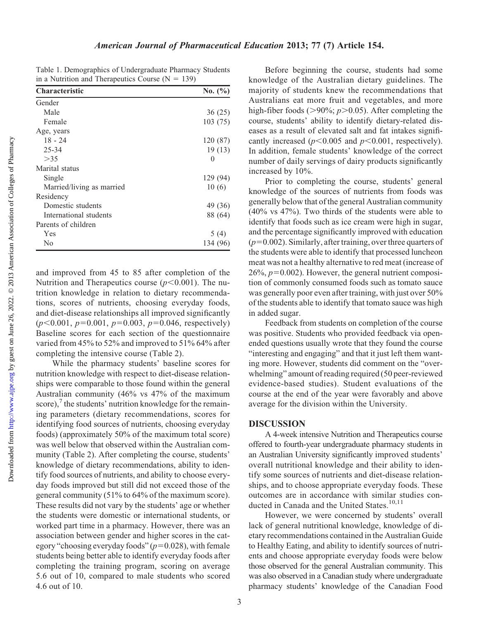Downloaded from

Table 1. Demographics of Undergraduate Pharmacy Students in a Nutrition and Therapeutics Course  $(N = 139)$ 

| <b>Characteristic</b>     | No. $(\% )$ |
|---------------------------|-------------|
| Gender                    |             |
| Male                      | 36(25)      |
| Female                    | 103(75)     |
| Age, years                |             |
| $18 - 24$                 | 120 (87)    |
| 25-34                     | 19(13)      |
| >35                       | 0           |
| Marital status            |             |
| Single                    | 129 (94)    |
| Married/living as married | 10(6)       |
| Residency                 |             |
| Domestic students         | 49 (36)     |
| International students    | 88 (64)     |
| Parents of children       |             |
| Yes                       | 5(4)        |
| N <sub>0</sub>            | 134 (96)    |

and improved from 45 to 85 after completion of the Nutrition and Therapeutics course  $(p<0.001)$ . The nutrition knowledge in relation to dietary recommendations, scores of nutrients, choosing everyday foods, and diet-disease relationships all improved significantly  $(p<0.001, p=0.001, p=0.003, p=0.046,$  respectively) Baseline scores for each section of the questionnaire varied from 45% to 52% and improved to 51% 64% after completing the intensive course (Table 2).

While the pharmacy students' baseline scores for nutrition knowledge with respect to diet-disease relationships were comparable to those found within the general Australian community (46% vs 47% of the maximum score), $\frac{7}{7}$  the students' nutrition knowledge for the remaining parameters (dietary recommendations, scores for identifying food sources of nutrients, choosing everyday foods) (approximately 50% of the maximum total score) was well below that observed within the Australian community (Table 2). After completing the course, students' knowledge of dietary recommendations, ability to identify food sources of nutrients, and ability to choose everyday foods improved but still did not exceed those of the general community (51% to 64% of the maximum score). These results did not vary by the students' age or whether the students were domestic or international students, or worked part time in a pharmacy. However, there was an association between gender and higher scores in the category "choosing everyday foods"  $(p=0.028)$ , with female students being better able to identify everyday foods after completing the training program, scoring on average 5.6 out of 10, compared to male students who scored 4.6 out of 10.

Before beginning the course, students had some knowledge of the Australian dietary guidelines. The majority of students knew the recommendations that Australians eat more fruit and vegetables, and more high-fiber foods ( $>90\%$ ;  $p>0.05$ ). After completing the course, students' ability to identify dietary-related diseases as a result of elevated salt and fat intakes significantly increased ( $p<0.005$  and  $p<0.001$ , respectively). In addition, female students' knowledge of the correct number of daily servings of dairy products significantly increased by 10%.

Prior to completing the course, students' general knowledge of the sources of nutrients from foods was generally below that of the general Australian community (40% vs 47%). Two thirds of the students were able to identify that foods such as ice cream were high in sugar, and the percentage significantly improved with education  $(p=0.002)$ . Similarly, after training, over three quarters of the students were able to identify that processed luncheon meat was not a healthy alternative to red meat (increase of  $26\%, p=0.002$ ). However, the general nutrient composition of commonly consumed foods such as tomato sauce was generally poor even after training, with just over 50% of the students able to identify that tomato sauce was high in added sugar.

Feedback from students on completion of the course was positive. Students who provided feedback via openended questions usually wrote that they found the course "interesting and engaging" and that it just left them wanting more. However, students did comment on the "overwhelming" amount of reading required (50 peer-reviewed evidence-based studies). Student evaluations of the course at the end of the year were favorably and above average for the division within the University.

#### DISCUSSION

A 4-week intensive Nutrition and Therapeutics course offered to fourth-year undergraduate pharmacy students in an Australian University significantly improved students' overall nutritional knowledge and their ability to identify some sources of nutrients and diet-disease relationships, and to choose appropriate everyday foods. These outcomes are in accordance with similar studies conducted in Canada and the United States.<sup>10,11</sup>

However, we were concerned by students' overall lack of general nutritional knowledge, knowledge of dietary recommendations contained in the Australian Guide to Healthy Eating, and ability to identify sources of nutrients and choose appropriate everyday foods were below those observed for the general Australian community. This was also observed in a Canadian study where undergraduate pharmacy students' knowledge of the Canadian Food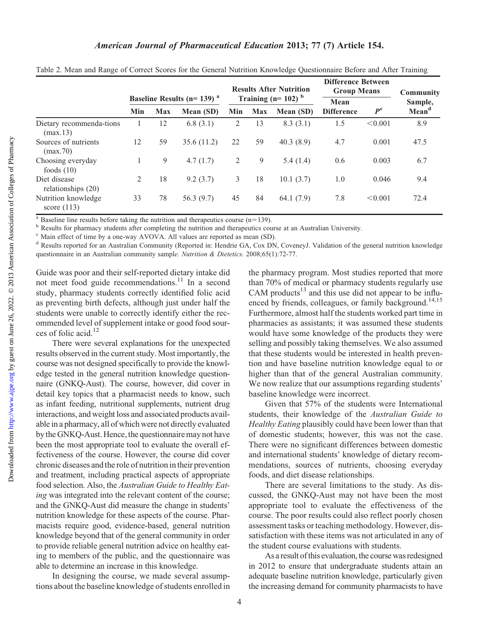### American Journal of Pharmaceutical Education 2013; 77 (7) Article 154.

|                                      | Baseline Results ( $n=139$ ) <sup>a</sup> |            |            | <b>Results After Nutrition</b><br>Training $(n=102)^b$ |            | <b>Difference Between</b><br><b>Group Means</b> |                                  | <b>Community</b> |                   |
|--------------------------------------|-------------------------------------------|------------|------------|--------------------------------------------------------|------------|-------------------------------------------------|----------------------------------|------------------|-------------------|
|                                      |                                           |            |            |                                                        |            | Mean                                            |                                  | Sample,          |                   |
|                                      | Min                                       | <b>Max</b> | Mean (SD)  | Min                                                    | <b>Max</b> | Mean (SD)                                       | $P^{\rm c}$<br><b>Difference</b> |                  | Mean <sup>d</sup> |
| Dietary recommenda-tions<br>(max.13) |                                           | 12         | 6.8(3.1)   | 2                                                      | 13         | 8.3(3.1)                                        | 1.5                              | < 0.001          | 8.9               |
| Sources of nutrients<br>(max.70)     | 12                                        | 59         | 35.6(11.2) | 22                                                     | 59         | 40.3(8.9)                                       | 4.7                              | 0.001            | 47.5              |
| Choosing everyday<br>foods $(10)$    |                                           | 9          | 4.7(1.7)   | 2                                                      | 9          | 5.4(1.4)                                        | 0.6                              | 0.003            | 6.7               |
| Diet disease<br>relationships (20)   | 2                                         | 18         | 9.2(3.7)   | 3                                                      | 18         | 10.1(3.7)                                       | 1.0                              | 0.046            | 9.4               |
| Nutrition knowledge<br>score $(113)$ | 33                                        | 78         | 56.3(9.7)  | 45                                                     | 84         | 64.1 $(7.9)$                                    | 7.8                              | < 0.001          | 72.4              |

Table 2. Mean and Range of Correct Scores for the General Nutrition Knowledge Questionnaire Before and After Training

<sup>a</sup> Baseline line results before taking the nutrition and therapeutics course (n=139). <br><sup>b</sup> Results for pharmacy students after completing the nutrition and therapeutics course at an Australian University.

<sup>c</sup> Main effect of time by a one-way AVOVA. All values are reported as mean (SD).

<sup>d</sup> Results reported for an Australian Community (Reported in: Hendrie GA, Cox DN, CoveneyJ. Validation of the general nutrition knowledge questionnaire in an Australian community sample. Nutrition & Dietetics. 2008;65(1):72-77.

Guide was poor and their self-reported dietary intake did not meet food guide recommendations.<sup>11</sup> In a second study, pharmacy students correctly identified folic acid as preventing birth defects, although just under half the students were unable to correctly identify either the recommended level of supplement intake or good food sources of folic acid.12

There were several explanations for the unexpected results observed in the current study. Most importantly, the course was not designed specifically to provide the knowledge tested in the general nutrition knowledge questionnaire (GNKQ-Aust). The course, however, did cover in detail key topics that a pharmacist needs to know, such as infant feeding, nutritional supplements, nutrient drug interactions, and weight loss and associated products available in a pharmacy, all of which were not directly evaluated by the GNKQ-Aust. Hence, the questionnaire may not have been the most appropriate tool to evaluate the overall effectiveness of the course. However, the course did cover chronic diseases and the role of nutrition in their prevention and treatment, including practical aspects of appropriate food selection. Also, the Australian Guide to Healthy Eating was integrated into the relevant content of the course; and the GNKQ-Aust did measure the change in students' nutrition knowledge for these aspects of the course. Pharmacists require good, evidence-based, general nutrition knowledge beyond that of the general community in order to provide reliable general nutrition advice on healthy eating to members of the public, and the questionnaire was able to determine an increase in this knowledge.

In designing the course, we made several assumptions about the baseline knowledge of students enrolled in the pharmacy program. Most studies reported that more than 70% of medical or pharmacy students regularly use CAM products $^{13}$  and this use did not appear to be influenced by friends, colleagues, or family background.<sup>14,15</sup> Furthermore, almost half the students worked part time in pharmacies as assistants; it was assumed these students would have some knowledge of the products they were selling and possibly taking themselves. We also assumed that these students would be interested in health prevention and have baseline nutrition knowledge equal to or higher than that of the general Australian community. We now realize that our assumptions regarding students' baseline knowledge were incorrect.

Given that 57% of the students were International students, their knowledge of the Australian Guide to Healthy Eating plausibly could have been lower than that of domestic students; however, this was not the case. There were no significant differences between domestic and international students' knowledge of dietary recommendations, sources of nutrients, choosing everyday foods, and diet disease relationships.

There are several limitations to the study. As discussed, the GNKQ-Aust may not have been the most appropriate tool to evaluate the effectiveness of the course. The poor results could also reflect poorly chosen assessment tasks or teaching methodology. However, dissatisfaction with these items was not articulated in any of the student course evaluations with students.

As a result of this evaluation, the course was redesigned in 2012 to ensure that undergraduate students attain an adequate baseline nutrition knowledge, particularly given the increasing demand for community pharmacists to have